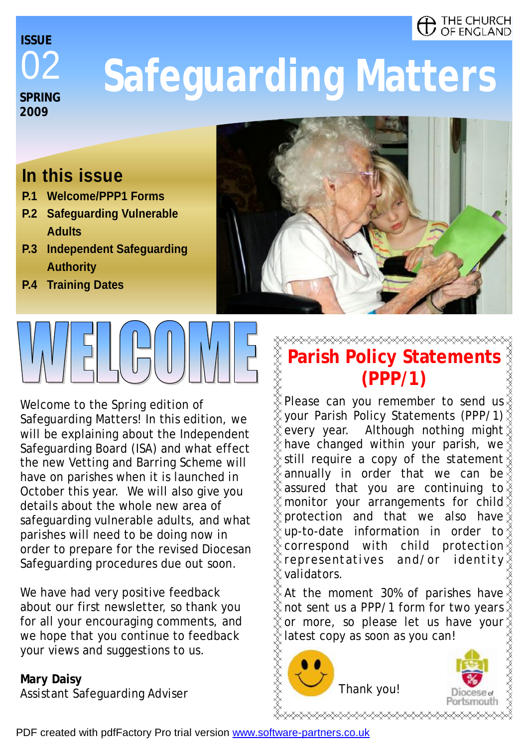#### THE CHURCH OF ENGLAND

02 **SPRING 2009 ISSUE** 

# **Safeguarding Matters**

### **In this issue**

- **P.1 Welcome/PPP1 Forms**
- **P.2 Safeguarding Vulnerable Adults**
- **P.3 Independent Safeguarding Authority**
- **P.4 Training Dates**

Welcome to the Spring edition of Safeguarding Matters! In this edition, we will be explaining about the Independent Safeguarding Board (ISA) and what effect the new Vetting and Barring Scheme will have on parishes when it is launched in October this year. We will also give you details about the whole new area of safeguarding vulnerable adults, and what parishes will need to be doing now in order to prepare for the revised Diocesan Safeguarding procedures due out soon.

We have had very positive feedback about our first newsletter, so thank you for all your encouraging comments, and we hope that you continue to feedback your views and suggestions to us.

# **Mary Daisy**

Assistant Safeguarding Adviser

# **⋌⋌⋌⋌⋌⋌⋌⋌⋌⋌⋌⋌⋌⋌⋌⋌⋌⋌⋌⋌⋌⋌⋌⋌⋌⋌**

#### **XXXXXXX Parish Policy Statements (PPP/1)**

Please can you remember to send us your Parish Policy Statements (PPP/1) every year. Although nothing might have changed within your parish, we still require a copy of the statement annually in order that we can be assured that you are continuing to monitor your arrangements for child protection and that we also have up-to-date information in order to correspond with child protection representatives and/or identity validators.

At the moment 30% of parishes have not sent us a PPP/1 form for two years or more, so please let us have your latest copy as soon as you can!





PDF created with pdfFactory Pro trial version [www.software-partners.co.uk](http://www.software-partners.co.uk)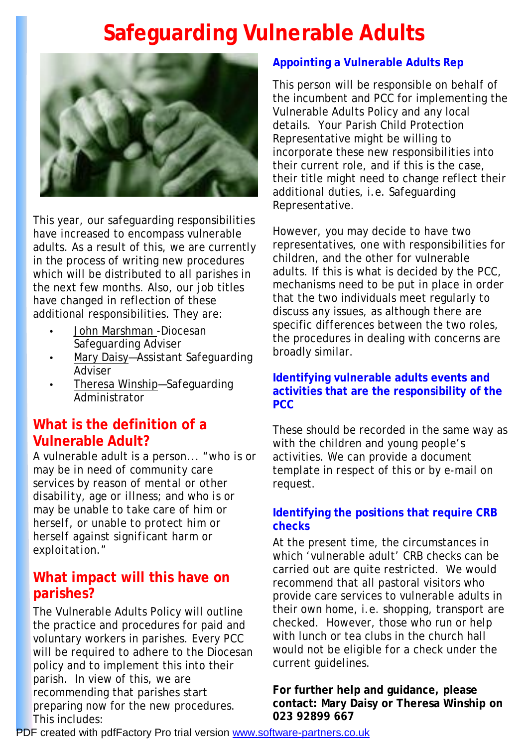# **Safeguarding Vulnerable Adults**



This year, our safeguarding responsibilities have increased to encompass vulnerable adults. As a result of this, we are currently in the process of writing new procedures which will be distributed to all parishes in the next few months. Also, our job titles have changed in reflection of these additional responsibilities. They are:

- John Marshman -Diocesan Safeguarding Adviser
- Mary Daisy—Assistant Safeguarding Adviser
- Theresa Winship—Safeguarding Administrator

#### **What is the definition of a Vulnerable Adult?**

A vulnerable adult is a person... *"who is or may be in need of community care services by reason of mental or other disability, age or illness; and who is or may be unable to take care of him or herself, or unable to protect him or herself against significant harm or exploitation."* 

#### **What impact will this have on parishes?**

The Vulnerable Adults Policy will outline the practice and procedures for paid and voluntary workers in parishes. Every PCC will be required to adhere to the Diocesan policy and to implement this into their parish. In view of this, we are recommending that parishes start preparing now for the new procedures. This includes:

#### **Appointing a Vulnerable Adults Rep**

This person will be responsible on behalf of the incumbent and PCC for implementing the Vulnerable Adults Policy and any local details. Your Parish Child Protection Representative might be willing to incorporate these new responsibilities into their current role, and if this is the case, their title might need to change reflect their additional duties, i.e. Safeguarding Representative.

However, you may decide to have two representatives, one with responsibilities for children, and the other for vulnerable adults. If this is what is decided by the PCC, mechanisms need to be put in place in order that the two individuals meet regularly to discuss any issues, as although there are specific differences between the two roles, the procedures in dealing with concerns are broadly similar.

#### **Identifying vulnerable adults events and activities that are the responsibility of the PCC**

These should be recorded in the same way as with the children and young people's activities. We can provide a document template in respect of this or by e-mail on request.

#### **Identifying the positions that require CRB checks**

At the present time, the circumstances in which 'vulnerable adult' CRB checks can be carried out are quite restricted. We would recommend that all pastoral visitors who provide care services to vulnerable adults in their own home, i.e. shopping, transport are checked. However, those who run or help with lunch or tea clubs in the church hall would not be eligible for a check under the current guidelines.

**For further help and guidance, please contact: Mary Daisy or Theresa Winship on 023 92899 667**

PDF created with pdfFactory Pro trial version [www.software-partners.co.uk](http://www.software-partners.co.uk)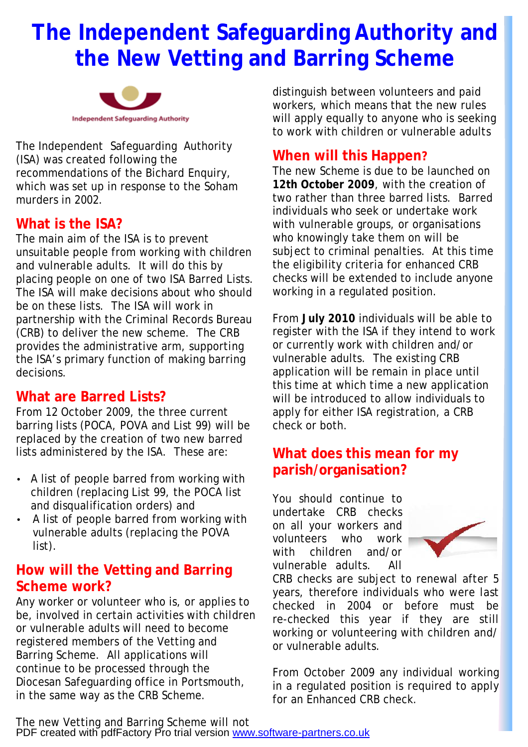## **The Independent Safeguarding Authority and the New Vetting and Barring Scheme**



The Independent Safeguarding Authority (ISA) was created following the recommendations of the Bichard Enquiry, which was set up in response to the Soham murders in 2002.

#### **What is the ISA?**

The main aim of the ISA is to prevent unsuitable people from working with children and vulnerable adults. It will do this by placing people on one of two ISA Barred Lists. The ISA will make decisions about who should be on these lists. The ISA will work in partnership with the Criminal Records Bureau (CRB) to deliver the new scheme. The CRB provides the administrative arm, supporting the ISA's primary function of making barring decisions.

#### **What are Barred Lists?**

From 12 October 2009, the three current barring lists (POCA, POVA and List 99) will be replaced by the creation of two new barred lists administered by the ISA. These are:

- A list of people barred from working with children (replacing List 99, the POCA list and disqualification orders) and
- A list of people barred from working with vulnerable adults (replacing the POVA list).

#### **How will the Vetting and Barring Scheme work?**

Any worker or volunteer who is, or applies to be, involved in certain activities with children or vulnerable adults will need to become registered members of the Vetting and Barring Scheme. All applications will continue to be processed through the Diocesan Safeguarding office in Portsmouth, in the same way as the CRB Scheme.

distinguish between volunteers and paid workers, which means that the new rules will apply equally to anyone who is seeking to work with children or vulnerable adults

#### **When will this Happen?**

The new Scheme is due to be launched on **12th October 2009**, with the creation of two rather than three barred lists. Barred individuals who seek or undertake work with vulnerable groups, or organisations who knowingly take them on will be subject to criminal penalties. At this time the eligibility criteria for enhanced CRB checks will be extended to include anyone working in a regulated position.

From **July 2010** individuals will be able to register with the ISA if they intend to work or currently work with children and/or vulnerable adults. The existing CRB application will be remain in place until this time at which time a new application will be introduced to allow individuals to apply for either ISA registration, a CRB check or both.

#### **What does this mean for my parish/organisation?**

You should continue to undertake CRB checks on all your workers and volunteers who work with children and/or vulnerable adults. All



CRB checks are subject to renewal after 5 years, therefore individuals who were last checked in 2004 or before must be re-checked this year if they are still working or volunteering with children and/ or vulnerable adults.

From October 2009 any individual working in a regulated position is required to apply for an Enhanced CRB check.